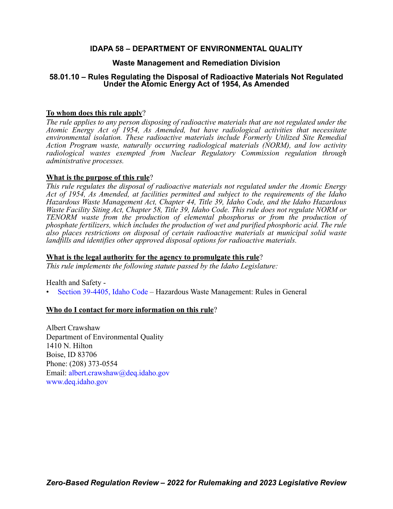# **IDAPA 58 – DEPARTMENT OF ENVIRONMENTAL QUALITY**

# **Waste Management and Remediation Division**

# **58.01.10 – Rules Regulating the Disposal of Radioactive Materials Not Regulated Under the Atomic Energy Act of 1954, As Amended**

# **To whom does this rule apply**?

*The rule applies to any person disposing of radioactive materials that are not regulated under the Atomic Energy Act of 1954, As Amended, but have radiological activities that necessitate environmental isolation. These radioactive materials include Formerly Utilized Site Remedial Action Program waste, naturally occurring radiological materials (NORM), and low activity radiological wastes exempted from Nuclear Regulatory Commission regulation through administrative processes.*

# **What is the purpose of this rule**?

*This rule regulates the disposal of radioactive materials not regulated under the Atomic Energy Act of 1954, As Amended, at facilities permitted and subject to the requirements of the Idaho Hazardous Waste Management Act, Chapter 44, Title 39, Idaho Code, and the Idaho Hazardous Waste Facility Siting Act, Chapter 58, Title 39, Idaho Code. This rule does not regulate NORM or TENORM waste from the production of elemental phosphorus or from the production of phosphate fertilizers, which includes the production of wet and purified phosphoric acid. The rule also places restrictions on disposal of certain radioactive materials at municipal solid waste landfills and identifies other approved disposal options for radioactive materials.*

### **What is the legal authority for the agency to promulgate this rule**?

*This rule implements the following statute passed by the Idaho Legislature:*

Health and Safety -

• [Section 39-4405, Idaho Code](https://legislature.idaho.gov/statutesrules/idstat/Title39/T39CH44/SECT39-4405/) – Hazardous Waste Management: Rules in General

# **Who do I contact for more information on this rule**?

Albert Crawshaw Department of Environmental Quality 1410 N. Hilton Boise, ID 83706 Phone: (208) 373-0554 Email: [albert.crawshaw@deq.idaho.gov](mailto:albert.crawshaw@deq.idaho.gov) [www.deq.idaho.gov](http://www.deq.idaho.gov)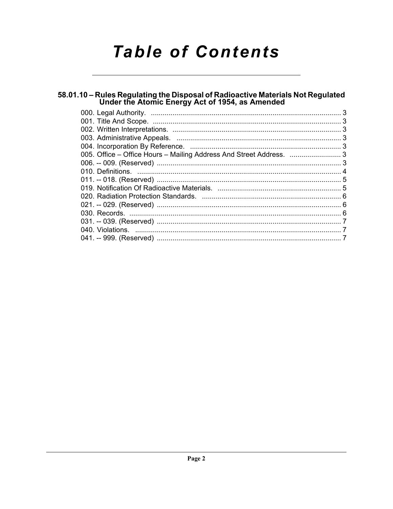# **Table of Contents**

# 58.01.10 - Rules Regulating the Disposal of Radioactive Materials Not Regulated<br>Under the Atomic Energy Act of 1954, as Amended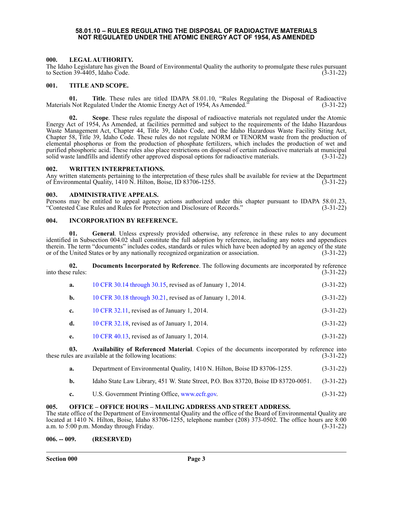#### **58.01.10 – RULES REGULATING THE DISPOSAL OF RADIOACTIVE MATERIALS NOT REGULATED UNDER THE ATOMIC ENERGY ACT OF 1954, AS AMENDED**

#### <span id="page-2-1"></span><span id="page-2-0"></span>**000. LEGAL AUTHORITY.**

The Idaho Legislature has given the Board of Environmental Quality the authority to promulgate these rules pursuant to Section 39-4405, Idaho Code. (3-31-22)

#### <span id="page-2-2"></span>**001. TITLE AND SCOPE.**

**01.** Title. These rules are titled IDAPA 58.01.10, "Rules Regulating the Disposal of Radioactive S Not Regulated Under the Atomic Energy Act of 1954. As Amended." (3-31-22) Materials Not Regulated Under the Atomic Energy Act of 1954, As Amended."

**02. Scope**. These rules regulate the disposal of radioactive materials not regulated under the Atomic Energy Act of 1954, As Amended, at facilities permitted and subject to the requirements of the Idaho Hazardous Waste Management Act, Chapter 44, Title 39, Idaho Code, and the Idaho Hazardous Waste Facility Siting Act, Chapter 58, Title 39, Idaho Code. These rules do not regulate NORM or TENORM waste from the production of elemental phosphorus or from the production of phosphate fertilizers, which includes the production of wet and purified phosphoric acid. These rules also place restrictions on disposal of certain radioactive materials at municipal solid waste landfills and identify other approved disposal options for radioactive materials. (3-31-22 solid waste landfills and identify other approved disposal options for radioactive materials.

#### <span id="page-2-3"></span>**002. WRITTEN INTERPRETATIONS.**

Any written statements pertaining to the interpretation of these rules shall be available for review at the Department of Environmental Ouality, 1410 N. Hilton, Boise, ID 83706-1255. of Environmental Quality, 1410 N. Hilton, Boise, ID 83706-1255.

#### <span id="page-2-4"></span>**003. ADMINISTRATIVE APPEALS.**

Persons may be entitled to appeal agency actions authorized under this chapter pursuant to IDAPA 58.01.23, "Contested Case Rules and Rules for Protection and Disclosure of Records." (3-31-22)

#### <span id="page-2-5"></span>**004. INCORPORATION BY REFERENCE.**

**01. General**. Unless expressly provided otherwise, any reference in these rules to any document identified in Subsection 004.02 shall constitute the full adoption by reference, including any notes and appendices therein. The term "documents" includes codes, standards or rules which have been adopted by an agency of the state or of the United States or by any nationally recognized organization or association. (3-31-22)

**02.** Documents Incorporated by Reference. The following documents are incorporated by reference e rules: (3-31-22) into these rules:

| а. | 10 CFR 30.14 through 30.15, revised as of January 1, 2014. | $(3-31-22)$ |
|----|------------------------------------------------------------|-------------|
|----|------------------------------------------------------------|-------------|

| b. | 10 CFR 30.18 through 30.21, revised as of January 1, 2014. | $(3-31-22)$ |
|----|------------------------------------------------------------|-------------|
|----|------------------------------------------------------------|-------------|

- **c.** [10 CFR 32.11](http://www.ecfr.gov/cgi-bin/text-idx?SID=00b5c464636a916fc7673a80ce7505be&tpl=/ecfrbrowse/Title10/10cfr32_main_02.tpl), revised as of January 1, 2014. (3-31-22)
- **d.** [10 CFR 32.18](http://www.ecfr.gov/cgi-bin/text-idx?SID=00b5c464636a916fc7673a80ce7505be&tpl=/ecfrbrowse/Title10/10cfr32_main_02.tpl), revised as of January 1, 2014. (3-31-22)
- **e.** [10 CFR 40.13](http://www.ecfr.gov/cgi-bin/text-idx?SID=00b5c464636a916fc7673a80ce7505be&tpl=/ecfrbrowse/Title10/10cfr40_main_02.tpl), revised as of January 1, 2014. (3-31-22)

**03. Availability of Referenced Material**. Copies of the documents incorporated by reference into these rules are available at the following locations: (3-31-22)

| Department of Environmental Quality, 1410 N. Hilton, Boise ID 83706-1255.                                                                                                                                                                                                                                                                                                                                                                                                                                                                                                                                                           |           |
|-------------------------------------------------------------------------------------------------------------------------------------------------------------------------------------------------------------------------------------------------------------------------------------------------------------------------------------------------------------------------------------------------------------------------------------------------------------------------------------------------------------------------------------------------------------------------------------------------------------------------------------|-----------|
| $\mathcal{L} = \mathcal{L} \times \mathcal{L} \times \mathcal{L} \times \mathcal{L} \times \mathcal{L} \times \mathcal{L} \times \mathcal{L} \times \mathcal{L} \times \mathcal{L} \times \mathcal{L} \times \mathcal{L} \times \mathcal{L} \times \mathcal{L} \times \mathcal{L} \times \mathcal{L} \times \mathcal{L} \times \mathcal{L} \times \mathcal{L} \times \mathcal{L} \times \mathcal{L} \times \mathcal{L} \times \mathcal{L} \times \mathcal{L} \times \mathcal{L} \times \mathcal{L} \times \mathcal{L} \times \mathcal{L$<br>$\mathbf{r}$ , $\mathbf{r}$ , $\mathbf{r}$ , $\mathbf{r}$ , $\mathbf{r}$ , $\mathbf{r}$ | (2.21.22) |

- **b.** Idaho State Law Library, 451 W. State Street, P.O. Box 83720, Boise ID 83720-0051. (3-31-22)
- **c.** U.S. Government Printing Office, <www.ecfr.gov>. (3-31-22)

#### <span id="page-2-6"></span>**005. OFFICE – OFFICE HOURS – MAILING ADDRESS AND STREET ADDRESS.**

The state office of the Department of Environmental Quality and the office of the Board of Environmental Quality are located at 1410 N. Hilton, Boise, Idaho 83706-1255, telephone number (208) 373-0502. The office hours are 8:00 a.m. to 5:00 p.m. Monday through Friday. (3-31-22)

#### <span id="page-2-7"></span>**006. -- 009. (RESERVED)**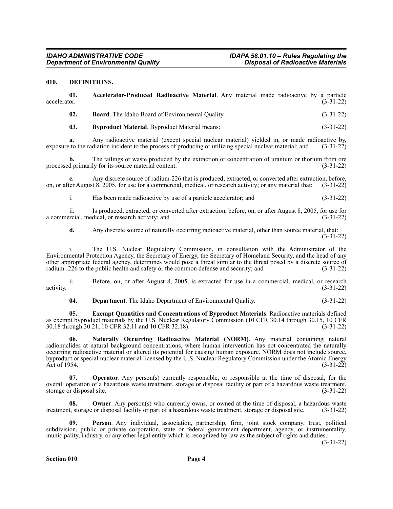#### <span id="page-3-0"></span>**010. DEFINITIONS.**

| 01.<br>accelerator. | Accelerator-Produced Radioactive Material. Any material made radioactive by a particle      | $(3-31-22)$ |
|---------------------|---------------------------------------------------------------------------------------------|-------------|
| 02.                 | <b>Board.</b> The Idaho Board of Environmental Quality.                                     | $(3-31-22)$ |
| 03.                 | <b>Byproduct Material.</b> Byproduct Material means:                                        | $(3-31-22)$ |
|                     | Apy rediceptive meterial (execut encoid nuclear meterial) violded in or made rediceptive by |             |

Any radioactive material (except special nuclear material) yielded in, or made radioactive by, diation incident to the process of producing or utilizing special nuclear material: and (3-31-22) exposure to the radiation incident to the process of producing or utilizing special nuclear material; and

**b.** The tailings or waste produced by the extraction or concentration of uranium or thorium from ore processed primarily for its source material content. (3-31-22)

**c.** Any discrete source of radium-226 that is produced, extracted, or converted after extraction, before, on, or after August 8, 2005, for use for a commercial, medical, or research activity; or any material that: (3-31-22)

i. Has been made radioactive by use of a particle accelerator; and (3-31-22)

ii. Is produced, extracted, or converted after extraction, before, on, or after August 8, 2005, for use for recial, medical, or research activity; and a commercial, medical, or research activity; and

**d.** Any discrete source of naturally occurring radioactive material, other than source material, that: (3-31-22)

i. The U.S. Nuclear Regulatory Commission, in consultation with the Administrator of the Environmental Protection Agency, the Secretary of Energy, the Secretary of Homeland Security, and the head of any other appropriate federal agency, determines would pose a threat similar to the threat posed by a discrete source of radium- 226 to the public health and safety or the common defense and security; and (3-31-22)

ii. Before, on, or after August 8, 2005, is extracted for use in a commercial, medical, or research activity. (3-31-22)

**04. Department**. The Idaho Department of Environmental Quality. (3-31-22)

**05. Exempt Quantities and Concentrations of Byproduct Materials**. Radioactive materials defined as exempt byproduct materials by the U.S. Nuclear Regulatory Commission (10 CFR 30.14 through 30.15, 10 CFR 30.18 through 30.21, 10 CFR 32.11 and 10 CFR 32.18). (3-31-22)

**06. Naturally Occurring Radioactive Material (NORM)**. Any material containing natural radionuclides at natural background concentrations, where human intervention has not concentrated the naturally occurring radioactive material or altered its potential for causing human exposure. NORM does not include source, byproduct or special nuclear material licensed by the U.S. Nuclear Regulatory Commission under the Atomic Energy Act of 1954.  $(3-31-22)$ 

**Operator**. Any person(s) currently responsible, or responsible at the time of disposal, for the overall operation of a hazardous waste treatment, storage or disposal facility or part of a hazardous waste treatment, storage or disposal site. (3-31-22) storage or disposal site.

**Owner**. Any person(s) who currently owns, or owned at the time of disposal, a hazardous waste treatment, storage or disposal facility or part of a hazardous waste treatment, storage or disposal site. (3-31-22)

**09. Person**. Any individual, association, partnership, firm, joint stock company, trust, political subdivision, public or private corporation, state or federal government department, agency, or instrumentality, municipality, industry, or any other legal entity which is recognized by law as the subject of rights and duties.

(3-31-22)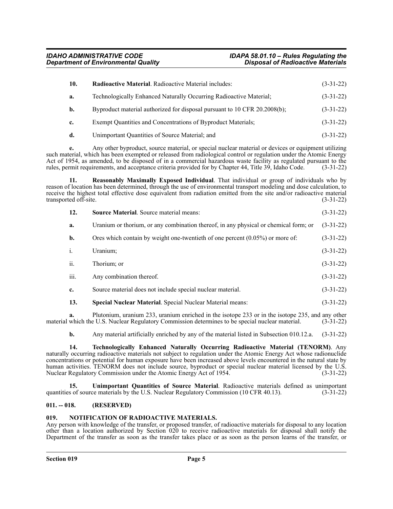| 10. | <b>Radioactive Material.</b> Radioactive Material includes:               | $(3-31-22)$ |
|-----|---------------------------------------------------------------------------|-------------|
| a.  | Technologically Enhanced Naturally Occurring Radioactive Material;        | $(3-31-22)$ |
| b.  | Byproduct material authorized for disposal pursuant to 10 CFR 20.2008(b); | $(3-31-22)$ |
| c.  | Exempt Quantities and Concentrations of Byproduct Materials;              | $(3-31-22)$ |
| d.  | Unimportant Quantities of Source Material; and                            | $(3-31-22)$ |

**e.** Any other byproduct, source material, or special nuclear material or devices or equipment utilizing

such material, which has been exempted or released from radiological control or regulation under the Atomic Energy Act of 1954, as amended, to be disposed of in a commercial hazardous waste facility as regulated pursuant to the rules, permit requirements, and acceptance criteria provided for by Chapter 44, Title 39, Idaho Code. (3-31-22)

**11. Reasonably Maximally Exposed Individual**. That individual or group of individuals who by reason of location has been determined, through the use of environmental transport modeling and dose calculation, to receive the highest total effective dose equivalent from radiation emitted from the site and/or radioactive material transported off-site. (3-31-22)

| 12.  | <b>Source Material.</b> Source material means:                                       | $(3-31-22)$ |
|------|--------------------------------------------------------------------------------------|-------------|
| a.   | Uranium or thorium, or any combination thereof, in any physical or chemical form; or | $(3-31-22)$ |
| b.   | Ores which contain by weight one-twentieth of one percent $(0.05\%)$ or more of:     | $(3-31-22)$ |
| i.   | Uranium;                                                                             | $(3-31-22)$ |
| ii.  | Thorium; or                                                                          | $(3-31-22)$ |
| iii. | Any combination thereof.                                                             | $(3-31-22)$ |
| c.   | Source material does not include special nuclear material.                           | $(3-31-22)$ |
| 13.  | <b>Special Nuclear Material.</b> Special Nuclear Material means:                     | $(3-31-22)$ |

**a.** Plutonium, uranium 233, uranium enriched in the isotope 233 or in the isotope 235, and any other material which the U.S. Nuclear Regulatory Commission determines to be special nuclear material. (3-31-22)

**b.** Any material artificially enriched by any of the material listed in Subsection 010.12.a. (3-31-22)

**14. Technologically Enhanced Naturally Occurring Radioactive Material (TENORM)**. Any naturally occurring radioactive materials not subject to regulation under the Atomic Energy Act whose radionuclide concentrations or potential for human exposure have been increased above levels encountered in the natural state by human activities. TENORM does not include source, byproduct or special nuclear material licensed by the U.S. Nuclear Regulatory Commission under the Atomic Energy Act of 1954. (3-31-22)

**15. Unimportant Quantities of Source Material**. Radioactive materials defined as unimportant s of source materials by the U.S. Nuclear Regulatory Commission (10 CFR 40.13). (3-31-22) quantities of source materials by the U.S. Nuclear Regulatory Commission (10 CFR 40.13).

### <span id="page-4-0"></span>**011. -- 018. (RESERVED)**

### <span id="page-4-1"></span>**019. NOTIFICATION OF RADIOACTIVE MATERIALS.**

Any person with knowledge of the transfer, or proposed transfer, of radioactive materials for disposal to any location other than a location authorized by Section 020 to receive radioactive materials for disposal shall notify the Department of the transfer as soon as the transfer takes place or as soon as the person learns of the transfer, or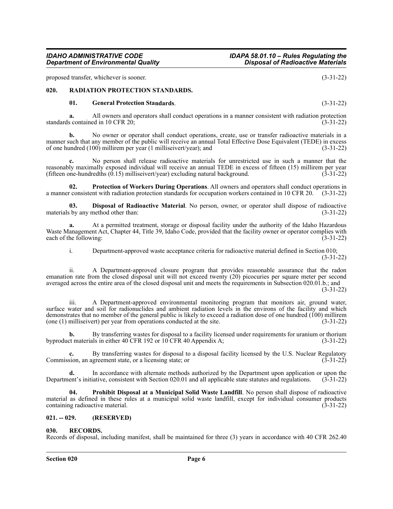#### *IDAHO ADMINISTRATIVE CODE IDAPA 58.01.10 – Rules Regulating the Department of Environmental Quality Disposal of Radioactive Materials*

proposed transfer, whichever is sooner. (3-31-22)

#### <span id="page-5-0"></span>**020. RADIATION PROTECTION STANDARDS.**

#### **01. General Protection Standards**. (3-31-22)

**a.** All owners and operators shall conduct operations in a manner consistent with radiation protection s contained in 10 CFR 20: (3-31-22) standards contained in 10 CFR 20;

**b.** No owner or operator shall conduct operations, create, use or transfer radioactive materials in a manner such that any member of the public will receive an annual Total Effective Dose Equivalent (TEDE) in excess of one hundred (100) millirem per year (1 milliseivert/year); and (3-31-22)

**c.** No person shall release radioactive materials for unrestricted use in such a manner that the reasonably maximally exposed individual will receive an annual TEDE in excess of fifteen (15) millirem per year<br>(fifteen one-hundredths (0.15) milliseivert/year) excluding natural background. (3-31-22) (fifteen one-hundredths  $(0.15)$  milliseivert/year) excluding natural background.

**02. Protection of Workers During Operations**. All owners and operators shall conduct operations in a manner consistent with radiation protection standards for occupation workers contained in 10 CFR 20. (3-31-22)

**03. Disposal of Radioactive Material**. No person, owner, or operator shall dispose of radioactive is by any method other than: (3-31-22) materials by any method other than:

**a.** At a permitted treatment, storage or disposal facility under the authority of the Idaho Hazardous Waste Management Act, Chapter 44, Title 39, Idaho Code, provided that the facility owner or operator complies with each of the following: (3-31-22) each of the following:

i. Department-approved waste acceptance criteria for radioactive material defined in Section 010; (3-31-22)

ii. A Department-approved closure program that provides reasonable assurance that the radon emanation rate from the closed disposal unit will not exceed twenty (20) picocuries per square meter per second averaged across the entire area of the closed disposal unit and meets the requirements in Subsection 020.01.b.; and

(3-31-22)

iii. A Department-approved environmental monitoring program that monitors air, ground water, surface water and soil for radionuclides and ambient radiation levels in the environs of the facility and which demonstrates that no member of the general public is likely to exceed a radiation dose of one hundred (100) millirem (one (1) milliseivert) per year from operations conducted at the site. (3-31-22)

**b.** By transferring wastes for disposal to a facility licensed under requirements for uranium or thorium byproduct materials in either 40 CFR 192 or 10 CFR 40 Appendix A; (3-31-22)

**c.** By transferring wastes for disposal to a disposal facility licensed by the U.S. Nuclear Regulatory sion, an agreement state, or a licensing state; or Commission, an agreement state, or a licensing state; or

**d.** In accordance with alternate methods authorized by the Department upon application or upon the Department's initiative, consistent with Section 020.01 and all applicable state statutes and regulations. (3-31-22)

**04. Prohibit Disposal at a Municipal Solid Waste Landfill**. No person shall dispose of radioactive material as defined in these rules at a municipal solid waste landfill, except for individual consumer products containing radioactive material. (3-31-22)

### <span id="page-5-1"></span>**021. -- 029. (RESERVED)**

#### <span id="page-5-2"></span>**030. RECORDS.**

Records of disposal, including manifest, shall be maintained for three (3) years in accordance with 40 CFR 262.40